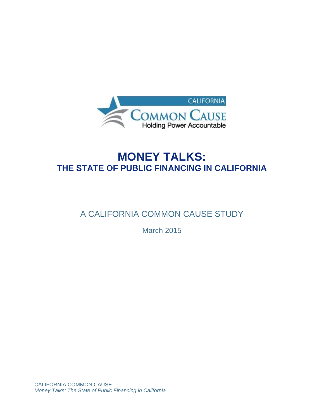

# **MONEY TALKS: THE STATE OF PUBLIC FINANCING IN CALIFORNIA**

## A CALIFORNIA COMMON CAUSE STUDY

March 2015

CALIFORNIA COMMON CAUSE *Money Talks: The State of Public Financing in California*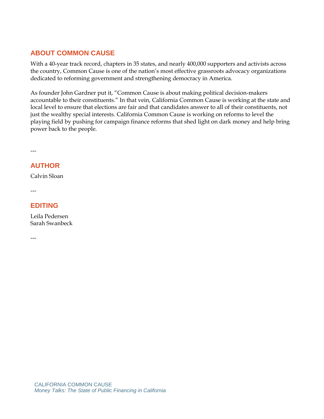## **ABOUT COMMON CAUSE**

With a 40-year track record, chapters in 35 states, and nearly 400,000 supporters and activists across the country, Common Cause is one of the nation's most effective grassroots advocacy organizations dedicated to reforming government and strengthening democracy in America.

As founder John Gardner put it, "Common Cause is about making political decision-makers accountable to their constituents." In that vein, California Common Cause is working at the state and local level to ensure that elections are fair and that candidates answer to all of their constituents, not just the wealthy special interests. California Common Cause is working on reforms to level the playing field by pushing for campaign finance reforms that shed light on dark money and help bring power back to the people.

---

## **AUTHOR**

Calvin Sloan

---

## **EDITING**

Leila Pedersen Sarah Swanbeck

---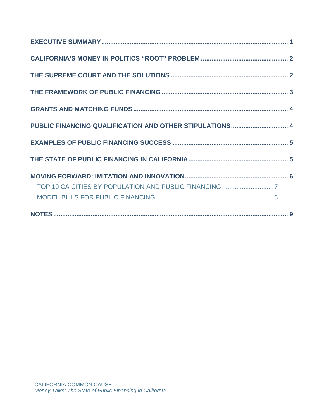| TOP 10 CA CITIES BY POPULATION AND PUBLIC FINANCING 7 |  |
|-------------------------------------------------------|--|
|                                                       |  |
|                                                       |  |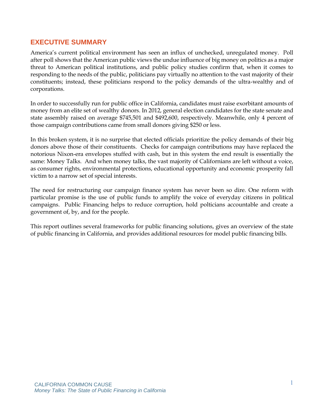## **EXECUTIVE SUMMARY**

America's current political environment has seen an influx of unchecked, unregulated money. Poll after poll shows that the American public views the undue influence of big money on politics as a major threat to American political institutions, and public policy studies confirm that, when it comes to responding to the needs of the public, politicians pay virtually no attention to the vast majority of their constituents; instead, these politicians respond to the policy demands of the ultra-wealthy and of corporations.

In order to successfully run for public office in California, candidates must raise exorbitant amounts of money from an elite set of wealthy donors. In 2012, general election candidates for the state senate and state assembly raised on average \$745,501 and \$492,600, respectively. Meanwhile, only 4 percent of those campaign contributions came from small donors giving \$250 or less.

In this broken system, it is no surprise that elected officials prioritize the policy demands of their big donors above those of their constituents. Checks for campaign contributions may have replaced the notorious Nixon-era envelopes stuffed with cash, but in this system the end result is essentially the same: Money Talks. And when money talks, the vast majority of Californians are left without a voice, as consumer rights, environmental protections, educational opportunity and economic prosperity fall victim to a narrow set of special interests.

The need for restructuring our campaign finance system has never been so dire. One reform with particular promise is the use of public funds to amplify the voice of everyday citizens in political campaigns. Public Financing helps to reduce corruption, hold polticians accountable and create a government of, by, and for the people.

This report outlines several frameworks for public financing solutions, gives an overview of the state of public financing in California, and provides additional resources for model public financing bills.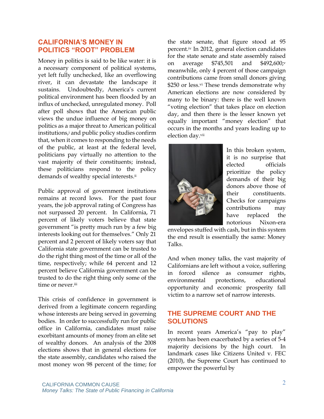#### **CALIFORNIA'S MONEY IN POLITICS "ROOT" PROBLEM**

Money in politics is said to be like water: it is a necessary component of political systems, yet left fully unchecked, like an overflowing river, it can devastate the landscape it sustains. Undoubtedly, America's current political environment has been flooded by an influx of unchecked, unregulated money. Poll after poll shows that the American public views the undue influence of big money on politics as a major threat to American political institutions,<sup>*i*</sup> and public policy studies confirm that, when it comes to responding to the needs of the public, at least at the federal level, politicians pay virtually no attention to the vast majority of their constituents; instead, these politicians respond to the policy demands of wealthy special interests. ii

Public approval of government institutions remains at record lows. For the past four years, the job approval rating of Congress has not surpassed 20 percent. In California, 71 percent of likely voters believe that state government "is pretty much run by a few big interests looking out for themselves." Only 21 percent and 2 percent of likely voters say that California state government can be trusted to do the right thing most of the time or all of the time, respectively; while 64 percent and 12 percent believe California government can be trusted to do the right thing only some of the time or never.<sup>iii</sup>

This crisis of confidence in government is derived from a legitimate concern regarding whose interests are being served in governing bodies. In order to successfully run for public office in California, candidates must raise exorbitant amounts of money from an elite set of wealthy donors. An analysis of the 2008 elections shows that in general elections for the state assembly, candidates who raised the most money won 98 percent of the time; for

the state senate, that figure stood at 95 percent. iv In 2012, general election candidates for the state senate and state assembly raised on average \$745,501 and \$492,600;<sup>v</sup> meanwhile, only 4 percent of those campaign contributions came from small donors giving \$250 or less.<sup>vi</sup> These trends demonstrate why American elections are now considered by many to be binary: there is the well known "voting election" that takes place on election day, and then there is the lesser known yet equally important "money election" that occurs in the months and years leading up to election day.vii



In this broken system, it is no surprise that elected officials prioritize the policy demands of their big donors above those of their constituents. Checks for campaigns contributions may have replaced the notorious Nixon-era

envelopes stuffed with cash, but in this system the end result is essentially the same: Money Talks.

And when money talks, the vast majority of Californians are left without a voice, suffering in forced silence as consumer rights, environmental protections, educational opportunity and economic prosperity fall victim to a narrow set of narrow interests.

#### **THE SUPREME COURT AND THE SOLUTIONS**

In recent years America's "pay to play" system has been exacerbated by a series of 5-4 majority decisions by the high court. In landmark cases like Citizens United v. FEC (2010), the Supreme Court has continued to empower the powerful by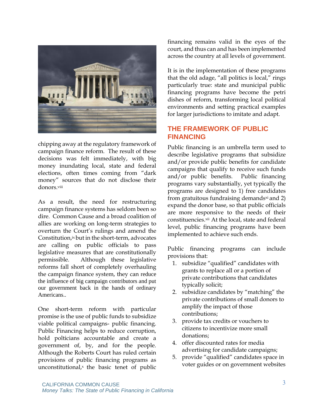

chipping away at the regulatory framework of campaign finance reform. The result of these decisions was felt immediately, with big money inundating local, state and federal elections, often times coming from "dark money" sources that do not disclose their donors.viii

As a result, the need for restructuring campaign finance systems has seldom been so dire. Common Cause and a broad coalition of allies are working on long-term strategies to overturn the Court's rulings and amend the Constitution, ix but in the short-term, advocates are calling on public officials to pass legislative measures that are constitutionally permissible. Although these legislative reforms fall short of completely overhauling the campaign finance system, they can reduce the influence of big campaign contributors and put our government back in the hands of ordinary Americans..

One short-term reform with particular promise is the use of public funds to subsidize viable political campaigns- public financing. Public Financing helps to reduce corruption, hold polticians accountable and create a government of, by, and for the people. Although the Roberts Court has ruled certain provisions of public financing programs as unconstitutional, $x$  the basic tenet of public

financing remains valid in the eyes of the court, and thus can and has been implemented across the country at all levels of government.

It is in the implementation of these programs that the old adage, "all politics is local," rings particularly true: state and municipal public financing programs have become the petri dishes of reform, transforming local political environments and setting practical examples for larger jurisdictions to imitate and adapt.

#### **THE FRAMEWORK OF PUBLIC FINANCING**

Public financing is an umbrella term used to describe legislative programs that subsidize and/or provide public benefits for candidate campaigns that qualify to receive such funds and/or public benefits. Public financing programs vary substantially, yet typically the programs are designed to 1) free candidates from gratuitous fundraising demandsxi and 2) expand the donor base, so that public officials are more responsive to the needs of their constituencies.xii At the local, state and federal level, public financing programs have been implemented to achieve such ends.

Public financing programs can include provisions that:

- 1. subsidize "qualified" candidates with grants to replace all or a portion of private contributions that candidates typically solicit;
- 2. subsidize candidates by "matching" the private contributions of small donors to amplify the impact of those contributions;
- 3. provide tax credits or vouchers to citizens to incentivize more small donations;
- 4. offer discounted rates for media advertising for candidate campaigns;
- 5. provide "qualified" candidates space in voter guides or on government websites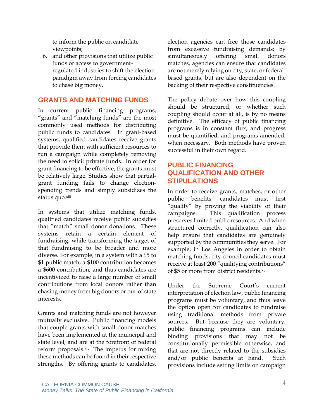to inform the public on candidate viewpoints;

6. and other provisions that utilize public funds or access to governmentregulated industries to shift the election paradigm away from forcing candidates to chase big money.

## **GRANTS AND MATCHING FUNDS**

In current public financing programs, "grants" and "matching funds" are the most commonly used methods for distributing public funds to candidates. In grant-based systems, qualified candidates receive grants that provide them with sufficient resources to run a campaign while completely removing the need to solicit private funds. In order for grant financing to be effective, the grants must be relatively large. Studies show that partialgrant funding fails to change electionspending trends and simply subsidizes the status quo.xiii

In systems that utilize matching funds, qualified candidates receive public subsidies that "match" small donor donations. These systems retain a certain element of fundraising, while transforming the target of that fundraising to be broader and more diverse. For example, in a system with a \$5 to \$1 public match, a \$100 contribution becomes a \$600 contribution, and thus candidates are incentivized to raise a large number of small contributions from local donors rather than chasing money from big donors or out-of state interests..

Grants and matching funds are not however mutually exclusive. Public financing models that couple grants with small donor matches have been implemented at the municipal and state level, and are at the forefront of federal reform proposals. xiv The impetus for mixing these methods can be found in their respective strengths. By offering grants to candidates,

election agencies can free those candidates from excessive fundraising demands; by simultaneously offering small donors matches, agencies can ensure that candidates are not merely relying on city, state, or federalbased grants, but are also dependent on the backing of their respective constituencies.

The policy debate over how this coupling should be structured, or whether such coupling should occur at all, is by no means definitive. The efficacy of public financing programs is in constant flux, and progress must be quantified, and programs amended, when necessary. Both methods have proven successful in their own regard.

## **PUBLIC FINANCING QUALIFICATION AND OTHER STIPULATIONS**

In order to receive grants, matches, or other public benefits, candidates must first "qualify" by proving the viability of their campaigns. This qualification process preserves limited public resources. And when structured correctly, qualification can also help ensure that candidates are genuinely supported by the communities they serve. For example, in Los Angeles in order to obtain matching funds, city council candidates must receive at least 200 "qualifying contributions" of \$5 or more from district residents.xv

Under the Supreme Court's current interpretation of election law, public financing programs must be voluntary, and thus leave the option open for candidates to fundraise using traditional methods from private sources. But because they are voluntary, public financing programs can include binding provisions that may not be constitutionally permissible otherwise, and that are not directly related to the subsidies and/or public benefits at hand. Such provisions include setting limits on campaign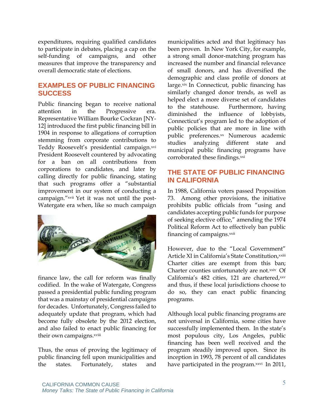expenditures, requiring qualified candidates to participate in debates, placing a cap on the self-funding of campaigns, and other measures that improve the transparency and overall democratic state of elections.

#### **EXAMPLES OF PUBLIC FINANCING SUCCESS**

Public financing began to receive national attention in the Progressive era. Representative William Bourke Cockran [NY-12] introduced the first public financing bill in 1904 in response to allegations of corruption stemming from corporate contributions to Teddy Roosevelt's presidential campaign.xvi President Roosevelt countered by advocating for a ban on all contributions from corporations to candidates, and later by calling directly for public financing, stating that such programs offer a "substantial improvement in our system of conducting a campaign."xvii Yet it was not until the post-Watergate era when, like so much campaign



finance law, the call for reform was finally codified. In the wake of Watergate, Congress passed a presidential public funding program that was a mainstay of presidential campaigns for decades. Unfortunately, Congress failed to adequately update that program, which had become fully obsolete by the 2012 election, and also failed to enact public financing for their own campaigns.xviii

Thus, the onus of proving the legitimacy of public financing fell upon municipalities and the states. Fortunately, states and municipalities acted and that legitimacy has been proven. In New York City, for example, a strong small donor-matching program has increased the number and financial relevance of small donors, and has diversified the demographic and class profile of donors at large.xix In Connecticut, public financing has similarly changed donor trends, as well as helped elect a more diverse set of candidates to the statehouse. Furthermore, having diminished the influence of lobbyists, Connecticut's program led to the adoption of public policies that are more in line with public preferences.xx Numerous academic studies analyzing different state and municipal public financing programs have corroborated these findings.xxi

## **THE STATE OF PUBLIC FINANCING IN CALIFORNIA**

In 1988, California voters passed Proposition 73. Among other provisions, the initiative prohibits public officials from "using and candidates accepting public funds for purpose of seeking elective office," amending the 1974 Political Reform Act to effectively ban public financing of campaigns.<sup>xxii</sup>

However, due to the "Local Government" Article XI in California's State Constitution.<sup>xxiii</sup> Charter cities are exempt from this ban; Charter counties unfortunately are not.xxiv Of California's 482 cities, 121 are chartered,xxv and thus, if these local jurisdictions choose to do so, they can enact public financing programs.

Although local public financing programs are not universal in California, some cities have successfully implemented them. In the state's most populous city, Los Angeles, public financing has been well received and the program steadily improved upon. Since its inception in 1993, 78 percent of all candidates have participated in the program.<sup>xxvi</sup> In 2011,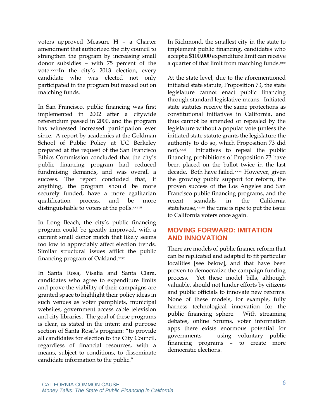voters approved Measure H – a Charter amendment that authorized the city council to strengthen the program by increasing small donor subsidies – with 75 percent of the vote.xxviiIn the city's 2013 election, every candidate who was elected not only participated in the program but maxed out on matching funds.

In San Francisco, public financing was first implemented in 2002 after a citywide referendum passed in 2000, and the program has witnessed increased participation ever since. A report by academics at the Goldman School of Public Policy at UC Berkeley prepared at the request of the San Francisco Ethics Commission concluded that the city's public financing program had reduced fundraising demands, and was overall a success. The report concluded that, if anything, the program should be more securely funded, have a more egalitarian qualification process, and be more distinguishable to voters at the polls.xxviii

In Long Beach, the city's public financing program could be greatly improved, with a current small donor match that likely seems too low to appreciably affect election trends. Similar structural issues afflict the public financing program of Oakland.xxix

In Santa Rosa, Visalia and Santa Clara, candidates who agree to expenditure limits and prove the viability of their campaigns are granted space to highlight their policy ideas in such venues as voter pamphlets, municipal websites, government access cable television and city libraries. The goal of these programs is clear, as stated in the intent and purpose section of Santa Rosa's program: "to provide all candidates for election to the City Council, regardless of financial resources, with a means, subject to conditions, to disseminate candidate information to the public."

In Richmond, the smallest city in the state to implement public financing, candidates who accept a \$100,000 expenditure limit can receive a quarter of that limit from matching funds.xxx

At the state level, due to the aforementioned initiated state statute, Proposition 73, the state legislature cannot enact public financing through standard legislative means. Initiated state statutes receive the same protections as constitutional initiatives in California, and thus cannot be amended or repealed by the legislature without a popular vote (unless the initiated state statute grants the legislature the authority to do so, which Proposition 73 did not).xxxi Initiatives to repeal the public financing prohibitions of Proposition 73 have been placed on the ballot twice in the last decade. Both have failed.xxxii However, given the growing public support for reform, the proven success of the Los Angeles and San Francisco public financing programs, and the recent scandals in the California statehouse, *xxxiii* the time is ripe to put the issue to California voters once again.

## **MOVING FORWARD: IMITATION AND INNOVATION**

There are models of public finance reform that can be replicated and adapted to fit particular localities [see below], and that have been proven to democratize the campaign funding process. Yet these model bills, although valuable, should not hinder efforts by citizens and public officials to innovate new reforms. None of these models, for example, fully harness technological innovation for the public financing sphere. With streaming debates, online forums, voter information apps there exists enormous potential for governments – using voluntary public financing programs – to create more democratic elections.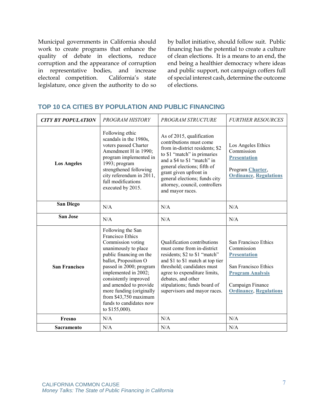Municipal governments in California should work to create programs that enhance the quality of debate in elections, reduce corruption and the appearance of corruption in representative bodies, and increase<br>electoral competition. California's state electoral competition. legislature, once given the authority to do so by ballot initiative, should follow suit. Public financing has the potential to create a culture of clean elections. It is a means to an end, the end being a healthier democracy where ideas and public support, not campaign coffers full of special interest cash, determine the outcome of elections.

| <b>CITY BY POPULATION</b> | PROGRAM HISTORY                                                                                                                                                                                                                                                                                                                                       | PROGRAM STRUCTURE                                                                                                                                                                                                                                                                                     | <b>FURTHER RESOURCES</b>                                                                                                                                          |
|---------------------------|-------------------------------------------------------------------------------------------------------------------------------------------------------------------------------------------------------------------------------------------------------------------------------------------------------------------------------------------------------|-------------------------------------------------------------------------------------------------------------------------------------------------------------------------------------------------------------------------------------------------------------------------------------------------------|-------------------------------------------------------------------------------------------------------------------------------------------------------------------|
| <b>Los Angeles</b>        | Following ethic<br>scandals in the 1980s,<br>voters passed Charter<br>Amendment H in 1990;<br>program implemented in<br>1993; program<br>strengthened following<br>city referendum in 2011,<br>full modifications<br>executed by 2015.                                                                                                                | As of 2015, qualification<br>contributions must come<br>from in-district residents; \$2<br>to \$1 "match" in primaries<br>and a \$4 to \$1 "match" in<br>general elections; fifth of<br>grant given upfront in<br>general elections; funds city<br>attorney, council, controllers<br>and mayor races. | Los Angeles Ethics<br>Commission<br><b>Presentation</b><br>Program Charter,<br><b>Ordinance, Regulations</b>                                                      |
| <b>San Diego</b>          | N/A                                                                                                                                                                                                                                                                                                                                                   | N/A                                                                                                                                                                                                                                                                                                   | N/A                                                                                                                                                               |
| <b>San Jose</b>           | N/A                                                                                                                                                                                                                                                                                                                                                   | N/A                                                                                                                                                                                                                                                                                                   | N/A                                                                                                                                                               |
| <b>San Francisco</b>      | Following the San<br><b>Francisco Ethics</b><br>Commission voting<br>unanimously to place<br>public financing on the<br>ballot, Proposition O<br>passed in 2000; program<br>implemented in 2002;<br>consistently improved<br>and amended to provide<br>more funding (originally<br>from \$43,750 maximum<br>funds to candidates now<br>to \$155,000). | Qualification contributions<br>must come from in-district<br>residents; \$2 to \$1 "match"<br>and \$1 to \$1 match at top tier<br>threshold; candidates must<br>agree to expenditure limits,<br>debates, and other<br>stipulations; funds board of<br>supervisors and mayor races.                    | San Francisco Ethics<br>Commission<br><b>Presentation</b><br>San Francisco Ethics<br><b>Program Analysis</b><br>Campaign Finance<br><b>Ordinance, Regulations</b> |
| Fresno                    | N/A                                                                                                                                                                                                                                                                                                                                                   | N/A                                                                                                                                                                                                                                                                                                   | N/A                                                                                                                                                               |
| <b>Sacramento</b>         | N/A                                                                                                                                                                                                                                                                                                                                                   | N/A                                                                                                                                                                                                                                                                                                   | N/A                                                                                                                                                               |

#### **TOP 10 CA CITIES BY POPULATION AND PUBLIC FINANCING**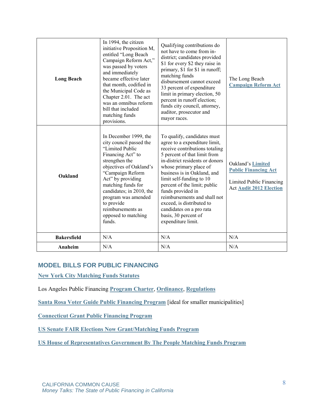| <b>Long Beach</b>  | In 1994, the citizen<br>initiative Proposition M,<br>entitled "Long Beach<br>Campaign Reform Act,"<br>was passed by voters<br>and immediately<br>became effective later<br>that month, codified in<br>the Municipal Code as<br>Chapter 2.01. The act<br>was an omnibus reform<br>bill that included<br>matching funds<br>provisions. | Qualifying contributions do<br>not have to come from in-<br>district; candidates provided<br>\$1 for every \$2 they raise in<br>primary, \$1 for \$1 in runoff;<br>matching funds<br>disbursement cannot exceed<br>33 percent of expenditure<br>limit in primary election, 50<br>percent in runoff election;<br>funds city council, attorney,<br>auditor, prosecutor and<br>mayor races.                                                           | The Long Beach<br><b>Campaign Reform Act</b>                                                                   |
|--------------------|--------------------------------------------------------------------------------------------------------------------------------------------------------------------------------------------------------------------------------------------------------------------------------------------------------------------------------------|----------------------------------------------------------------------------------------------------------------------------------------------------------------------------------------------------------------------------------------------------------------------------------------------------------------------------------------------------------------------------------------------------------------------------------------------------|----------------------------------------------------------------------------------------------------------------|
| Oakland            | In December 1999, the<br>city council passed the<br>"Limited Public<br>Financing Act" to<br>strengthen the<br>objectives of Oakland's<br>"Campaign Reform<br>Act" by providing<br>matching funds for<br>candidates; in 2010, the<br>program was amended<br>to provide<br>reimbursements as<br>opposed to matching<br>funds.          | To qualify, candidates must<br>agree to a expenditure limit,<br>receive contributions totaling<br>5 percent of that limit from<br>in-district residents or donors<br>whose primary place of<br>business is in Oakland, and<br>limit self-funding to 10<br>percent of the limit; public<br>funds provided in<br>reimbursements and shall not<br>exceed, is distributed to<br>candidates on a pro rata<br>basis, 30 percent of<br>expenditure limit. | Oakland's Limited<br><b>Public Financing Act</b><br>Limited Public Financing<br><b>Act Audit 2012 Election</b> |
| <b>Bakersfield</b> | N/A                                                                                                                                                                                                                                                                                                                                  | N/A                                                                                                                                                                                                                                                                                                                                                                                                                                                | N/A                                                                                                            |
| Anaheim            | N/A                                                                                                                                                                                                                                                                                                                                  | N/A                                                                                                                                                                                                                                                                                                                                                                                                                                                | N/A                                                                                                            |

#### **MODEL BILLS FOR PUBLIC FINANCING**

**[New York City Matching Funds Statutes](http://www.nyccfb.info/act-program/CFACT.htm#705)**

Los Angeles Public Financing **[Program Charter](http://ethics.lacity.org/PDF/laws/law_charter471.pdf)**, **[Ordinance](http://ethics.lacity.org/PDF/laws/law_MatchingFundsOrdinance.pdf)**, **[Regulations](http://ethics.lacity.org/PDF/laws/law_MatchingFundsRegs.pdf)**

**[Santa Rosa Voter Guide Public Financing Program](http://ci.santa-rosa.ca.us/departments/cityadmin/cityclerk/voterinfo/Pages/PublicFinancing.aspx)** [ideal for smaller municipalities]

**[Connecticut Grant Public Financing Program](http://www.cga.ct.gov/current/pub/chap_157.htm)**

**[US Senate FAIR Elections Now Grant/Matching Funds Program](https://www.congress.gov/bill/113th-congress/senate-bill/2023/text)**

**[US House of Representatives Government By The People Matching Funds Program](https://www.congress.gov/bill/113th-congress/house-bill/20?q=%7B%22search%22%3A%5B%22h.r.+20%22%5D%7D)**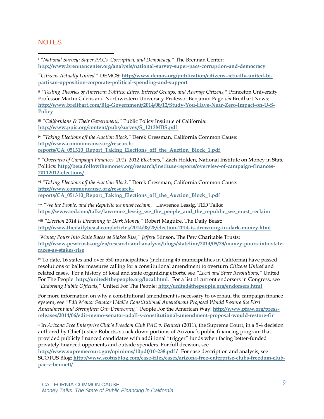#### **NOTES**

 $\overline{a}$ 

<sup>i</sup> *"National Survey: Super PACs, Corruption, and Democracy,"* The Brennan Center: **<http://www.brennancenter.org/analysis/national-survey-super-pacs-corruption-and-democracy>**

*"Citizens Actually United,"* DEMOS: **[http://www.demos.org/publication/citizens-actually-united-bi](http://www.demos.org/publication/citizens-actually-united-bi-partisan-opposition-corporate-political-spending-and-support)[partisan-opposition-corporate-political-spending-and-support](http://www.demos.org/publication/citizens-actually-united-bi-partisan-opposition-corporate-political-spending-and-support)**

<sup>ii</sup> "Testing Theories of American Politics: Elites, Interest Groups, and Average Citizens," Princeton University Professor Martin Gilens and Northwestern University Professor Benjamin Page *via* Breitbart News: **[http://www.breitbart.com/Big-Government/2014/08/12/Study-You-Have-Near-Zero-Impact-on-U-S-](http://www.breitbart.com/Big-Government/2014/08/12/Study-You-Have-Near-Zero-Impact-on-U-S-Policy)[Policy](http://www.breitbart.com/Big-Government/2014/08/12/Study-You-Have-Near-Zero-Impact-on-U-S-Policy)**

iii *"Californians & Their Government,"* Public Policy Institute of California: **[http://www.ppic.org/content/pubs/survey/S\\_1213MBS.pdf](http://www.ppic.org/content/pubs/survey/S_1213MBS.pdf)**

iv *"Taking Elections off the Auction Block,"* Derek Cressman, California Common Cause: **[http://www.commoncause.org/research](http://www.commoncause.org/research-reports/CA_051310_Report_Taking_Elections_off_the_Auction_Block_1.pdf)[reports/CA\\_051310\\_Report\\_Taking\\_Elections\\_off\\_the\\_Auction\\_Block\\_1.pdf](http://www.commoncause.org/research-reports/CA_051310_Report_Taking_Elections_off_the_Auction_Block_1.pdf)**

<sup>v</sup> *"Overview of Campaign Finances, 2011-2012 Elections,"* Zach Holden, National Institute on Money in State Politics: **[http://beta.followthemoney.org/research/institute-reports/overview-of-campaign-finances-](http://beta.followthemoney.org/research/institute-reports/overview-of-campaign-finances-20112012-elections/)[20112012-elections/](http://beta.followthemoney.org/research/institute-reports/overview-of-campaign-finances-20112012-elections/)**

vi *"Taking Elections off the Auction Block,"* Derek Cressman, California Common Cause: **[http://www.commoncause.org/research](http://www.commoncause.org/research-reports/CA_051310_Report_Taking_Elections_off_the_Auction_Block_1.pdf)[reports/CA\\_051310\\_Report\\_Taking\\_Elections\\_off\\_the\\_Auction\\_Block\\_1.pdf](http://www.commoncause.org/research-reports/CA_051310_Report_Taking_Elections_off_the_Auction_Block_1.pdf)**

vii *"We the People, and the Republic we must reclaim,"* Lawrence Lessig, TED Talks:

**[https://www.ted.com/talks/lawrence\\_lessig\\_we\\_the\\_people\\_and\\_the\\_republic\\_we\\_must\\_reclaim](https://www.ted.com/talks/lawrence_lessig_we_the_people_and_the_republic_we_must_reclaim)**

viii *"Election 2014 Is Drowning in Dark Money,"* Robert Maguire, The Daily Beast: **<http://www.thedailybeast.com/articles/2014/08/28/election-2014-is-drowning-in-dark-money.html>**

*"Money Pours Into State Races as Stakes Rise," Jeffrey* Stinson, The Pew Charitable Trusts: **[http://www.pewtrusts.org/en/research-and-analysis/blogs/stateline/2014/08/29/money-pours-into-state](http://www.pewtrusts.org/en/research-and-analysis/blogs/stateline/2014/08/29/money-pours-into-state-races-as-stakes-rise)[races-as-stakes-rise](http://www.pewtrusts.org/en/research-and-analysis/blogs/stateline/2014/08/29/money-pours-into-state-races-as-stakes-rise)**

ix To date, 16 states and over 550 municipalities (including 45 municipalities in California) have passed resolutions or ballot measures calling for a constitutional amendment to overturn *Citizens United* and related cases. For a history of local and state organizing efforts, see *"Local and State Resolutions,"* United For The People: **<http://united4thepeople.org/local.html>**. For a list of current endorsers in Congress, see *"Endorsing Public Officials,"* United For The People: **<http://united4thepeople.org/endorsers.html>**

For more information on why a constitutional amendment is necessary to overhaul the campaign finance system, see *"Edit Memo: Senator Udall's Constitutional Amendment Proposal Would Restore the First Amendment and Strengthen Our Democracy,"* People For the American Way: **[http://www.pfaw.org/press](http://www.pfaw.org/press-releases/2014/06/edit-memo-senator-udall-s-constitutional-amendment-proposal-would-restore-fir)[releases/2014/06/edit-memo-senator-udall-s-constitutional-amendment-proposal-would-restore-fir](http://www.pfaw.org/press-releases/2014/06/edit-memo-senator-udall-s-constitutional-amendment-proposal-would-restore-fir)**

x In *Arizona Free Enterprise Club's Freedom Club PAC v. Bennett* (2011), the Supreme Court, in a 5-4 decision authored by Chief Justice Roberts, struck down portions of Arizona's public financing program that provided publicly financed candidates with additional "trigger" funds when facing better-funded privately financed opponents and outside spenders. For full decision, see

**<http://www.supremecourt.gov/opinions/10pdf/10-238.pdf>**/. For case description and analysis, see SCOTUS Blog: **[http://www.scotusblog.com/case-files/cases/arizona-free-enterprise-clubs-freedom-club](http://www.scotusblog.com/case-files/cases/arizona-free-enterprise-clubs-freedom-club-pac-v-bennett/)[pac-v-bennett/](http://www.scotusblog.com/case-files/cases/arizona-free-enterprise-clubs-freedom-club-pac-v-bennett/)**.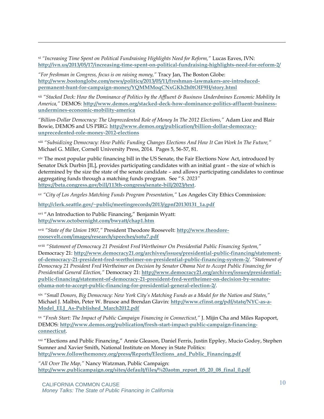xi *"Increasing Time Spent on Political Fundraising Highlights Need for Reform,"* Lucas Eaves, IVN: **<http://ivn.us/2013/05/17/increasing-time-spent-on-political-fundraising-highlights-need-for-reform-2/>**

*"For freshman in Congress, focus is on raising money,"* Tracy Jan, The Boston Globe: **[http://www.bostonglobe.com/news/politics/2013/05/11/freshman-lawmakers-are-introduced](http://www.bostonglobe.com/news/politics/2013/05/11/freshman-lawmakers-are-introduced-permanent-hunt-for-campaign-money/YQMMMoqCNxGKh2h0tOIF9H/story.html)[permanent-hunt-for-campaign-money/YQMMMoqCNxGKh2h0tOIF9H/story.html](http://www.bostonglobe.com/news/politics/2013/05/11/freshman-lawmakers-are-introduced-permanent-hunt-for-campaign-money/YQMMMoqCNxGKh2h0tOIF9H/story.html)**

xii *"Stacked Deck: How the Dominance of Politics by the Affluent & Business Underdmines Economic Mobility In America,"* DEMOS: **[http://www.demos.org/stacked-deck-how-dominance-politics-affluent-business](http://www.demos.org/stacked-deck-how-dominance-politics-affluent-business-undermines-economic-mobility-america)[undermines-economic-mobility-america](http://www.demos.org/stacked-deck-how-dominance-politics-affluent-business-undermines-economic-mobility-america)**

*"Billion-Dollar Democracy: The Unprecedented Role of Money In The 2012 Elections,"* Adam Lioz and Blair Bowie, DEMOS and US PIRG: **[http://www.demos.org/publication/billion-dollar-democracy](http://www.demos.org/publication/billion-dollar-democracy-unprecedented-role-money-2012-elections)[unprecedented-role-money-2012-elections](http://www.demos.org/publication/billion-dollar-democracy-unprecedented-role-money-2012-elections)**

xiii *"Subsidizing Democracy: How Public Funding Changes Elections And How It Can Work In The Future,"* Michael G. Miller, Cornell University Press, 2014. Pages 5, 56-57, 81.

xiv The most popular public financing bill in the US Senate, the Fair Elections Now Act, introduced by Senator Dick Durbin [IL], provides participating candidates with an initial grant – the size of which is determined by the size the state of the senate candidate – and allows participating candidates to continue aggregating funds through a matching funds program. See "*S. 2023"* **<https://beta.congress.gov/bill/113th-congress/senate-bill/2023/text>**.

xv *"City of Los Angeles Matching Funds Program Presentation,"* Los Angeles City Ethics Commission:

**[http://clerk.seattle.gov/~public/meetingrecords/2013/gpnf20130131\\_1a.pdf](http://clerk.seattle.gov/~public/meetingrecords/2013/gpnf20130131_1a.pdf)**

xvi "An Introduction to Public Financing," Benjamin Wyatt: **<http://www.octobernight.com/bwyatt/chap1.htm>**

 $\overline{a}$ 

xvii *"State of the Union 1907,"* President Theodore Roosevelt: **[http://www.theodore](http://www.theodore-roosevelt.com/images/research/speeches/sotu7.pdf)[roosevelt.com/images/research/speeches/sotu7.pdf](http://www.theodore-roosevelt.com/images/research/speeches/sotu7.pdf)**

xviii *"Statement of Democracy 21 President Fred Wertheimer On Presidential Public Financing System,"* Democracy 21: **[http://www.democracy21.org/archives/issues/presidential-public-financing/statement](http://www.democracy21.org/archives/issues/presidential-public-financing/statement-of-democracy-21-president-fred-wertheimer-on-presidential-public-financing-system-2/)[of-democracy-21-president-fred-wertheimer-on-presidential-public-financing-system-2/](http://www.democracy21.org/archives/issues/presidential-public-financing/statement-of-democracy-21-president-fred-wertheimer-on-presidential-public-financing-system-2/)**. *"Statement of Democracy 21 President Fred Wertheimer on Decision by Senator Obama Not to Accept Public Financing for Presidential General Election,"* Democracy 21: **[http://www.democracy21.org/archives/issues/presidential](http://www.democracy21.org/archives/issues/presidential-public-financing/statement-of-democracy-21-president-fred-wertheimer-on-decision-by-senator-obama-not-to-accept-public-financing-for-presidential-general-election-2/)[public-financing/statement-of-democracy-21-president-fred-wertheimer-on-decision-by-senator](http://www.democracy21.org/archives/issues/presidential-public-financing/statement-of-democracy-21-president-fred-wertheimer-on-decision-by-senator-obama-not-to-accept-public-financing-for-presidential-general-election-2/)[obama-not-to-accept-public-financing-for-presidential-general-election-2/](http://www.democracy21.org/archives/issues/presidential-public-financing/statement-of-democracy-21-president-fred-wertheimer-on-decision-by-senator-obama-not-to-accept-public-financing-for-presidential-general-election-2/)**.

xix *"Small Donors, Big Democracy: New York City's Matching Funds as a Model for the Nation and States,"* Michael J. Malbin, Peter W. Brusoe and Brendan Glavin: **[http://www.cfinst.org/pdf/state/NYC-as-a-](http://www.cfinst.org/pdf/state/NYC-as-a-Model_ELJ_As-Published_March2012.pdf)[Model\\_ELJ\\_As-Published\\_March2012.pdf](http://www.cfinst.org/pdf/state/NYC-as-a-Model_ELJ_As-Published_March2012.pdf)**

xx *"Fresh Start: The Impact of Public Campaign Financing in Connecticut,"* J. Mijin Cha and Miles Rapoport, DEMOS: **[http://www.demos.org/publication/fresh-start-impact-public-campaign-financing](http://www.demos.org/publication/fresh-start-impact-public-campaign-financing-connecticut)[connecticut](http://www.demos.org/publication/fresh-start-impact-public-campaign-financing-connecticut)**.

xxi "Elections and Public Financing," Annie Gleason, Daniel Ferris, Justin Eppley, Mucio Godoy, Stephen Sumner and Xavier Smith, National Institute on Money in State Politics: **[http://www.followthemoney.org/press/Reports/Elections\\_and\\_Public\\_Financing.pdf](http://www.followthemoney.org/press/Reports/Elections_and_Public_Financing.pdf)**

*"All Over The Map,"* Nancy Watzman, Public Campaign: **[http://www.publicampaign.org/sites/default/files/%20aotm\\_report\\_05\\_20\\_08\\_final\\_0.pdf](http://www.publicampaign.org/sites/default/files/%20aotm_report_05_20_08_final_0.pdf)**